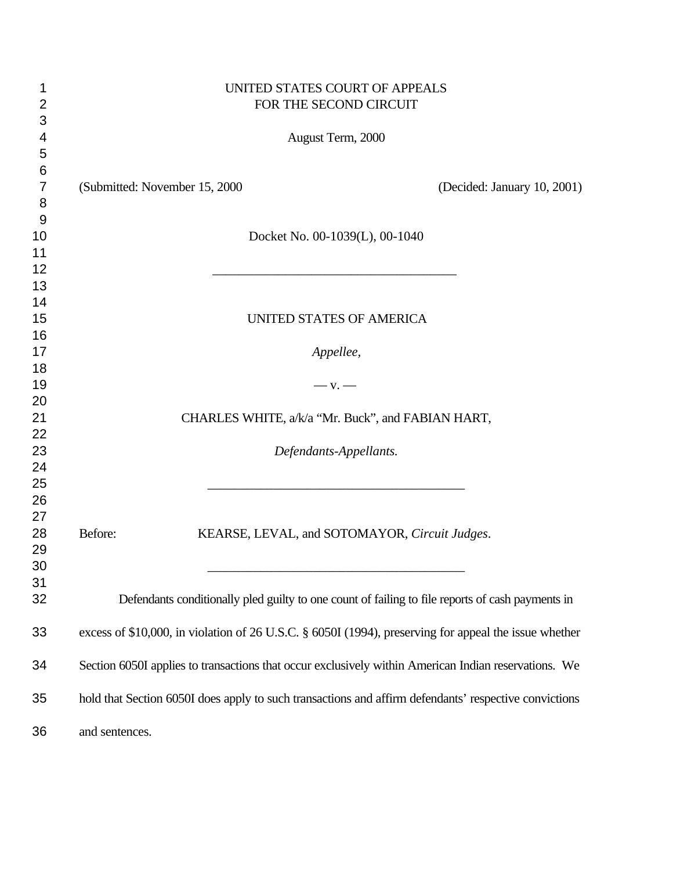| 1              | UNITED STATES COURT OF APPEALS                                                                        |                             |
|----------------|-------------------------------------------------------------------------------------------------------|-----------------------------|
| $\overline{2}$ | FOR THE SECOND CIRCUIT                                                                                |                             |
| 3              |                                                                                                       |                             |
| 4              | August Term, 2000                                                                                     |                             |
| 5              |                                                                                                       |                             |
| 6              |                                                                                                       |                             |
| $\overline{7}$ | (Submitted: November 15, 2000)                                                                        | (Decided: January 10, 2001) |
| 8              |                                                                                                       |                             |
| 9              |                                                                                                       |                             |
| 10             | Docket No. 00-1039(L), 00-1040                                                                        |                             |
| 11             |                                                                                                       |                             |
| 12             |                                                                                                       |                             |
| 13             |                                                                                                       |                             |
| 14             |                                                                                                       |                             |
| 15             | UNITED STATES OF AMERICA                                                                              |                             |
| 16             |                                                                                                       |                             |
| 17             | Appellee,                                                                                             |                             |
| 18             |                                                                                                       |                             |
| 19             | $-$ V. $-$                                                                                            |                             |
| 20             |                                                                                                       |                             |
| 21             | CHARLES WHITE, a/k/a "Mr. Buck", and FABIAN HART,                                                     |                             |
| 22             |                                                                                                       |                             |
| 23             | Defendants-Appellants.                                                                                |                             |
| 24             |                                                                                                       |                             |
| 25             |                                                                                                       |                             |
| 26             |                                                                                                       |                             |
| 27             |                                                                                                       |                             |
| 28             | Before:<br>KEARSE, LEVAL, and SOTOMAYOR, Circuit Judges.                                              |                             |
| 29             |                                                                                                       |                             |
| 30             |                                                                                                       |                             |
| 31             |                                                                                                       |                             |
| 32             | Defendants conditionally pled guilty to one count of failing to file reports of cash payments in      |                             |
|                |                                                                                                       |                             |
| 33             | excess of \$10,000, in violation of 26 U.S.C. § 6050I (1994), preserving for appeal the issue whether |                             |
|                |                                                                                                       |                             |
| 34             | Section 6050I applies to transactions that occur exclusively within American Indian reservations. We  |                             |
|                |                                                                                                       |                             |
| 35             | hold that Section 6050I does apply to such transactions and affirm defendants' respective convictions |                             |
|                |                                                                                                       |                             |
| 36             | and sentences.                                                                                        |                             |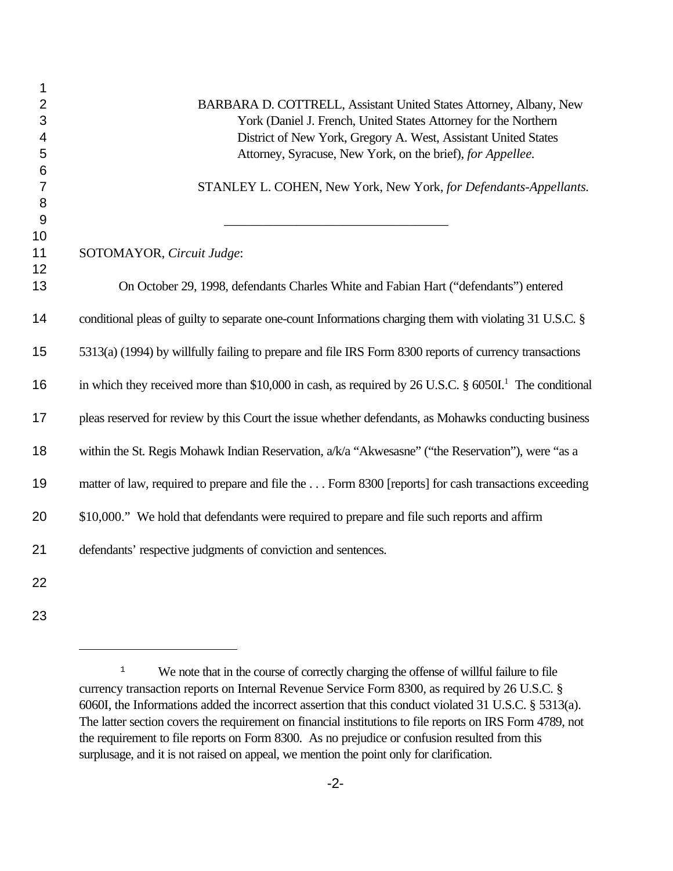| 1                       |                                                                                                                      |
|-------------------------|----------------------------------------------------------------------------------------------------------------------|
| $\overline{2}$          | BARBARA D. COTTRELL, Assistant United States Attorney, Albany, New                                                   |
| 3                       | York (Daniel J. French, United States Attorney for the Northern                                                      |
| $\overline{\mathbf{4}}$ | District of New York, Gregory A. West, Assistant United States                                                       |
| 5                       | Attorney, Syracuse, New York, on the brief), for Appellee.                                                           |
| $\,6$<br>$\overline{7}$ | STANLEY L. COHEN, New York, New York, for Defendants-Appellants.                                                     |
| 8                       |                                                                                                                      |
| 9                       |                                                                                                                      |
| 10                      |                                                                                                                      |
| 11                      | SOTOMAYOR, Circuit Judge:                                                                                            |
| 12                      |                                                                                                                      |
| 13                      | On October 29, 1998, defendants Charles White and Fabian Hart ("defendants") entered                                 |
| 14                      | conditional pleas of guilty to separate one-count Informations charging them with violating 31 U.S.C. §              |
| 15                      | 5313(a) (1994) by willfully failing to prepare and file IRS Form 8300 reports of currency transactions               |
| 16                      | in which they received more than \$10,000 in cash, as required by 26 U.S.C. $\S$ 6050I. <sup>1</sup> The conditional |
| 17                      | pleas reserved for review by this Court the issue whether defendants, as Mohawks conducting business                 |
| 18                      | within the St. Regis Mohawk Indian Reservation, a/k/a "Akwesasne" ("the Reservation"), were "as a                    |
| 19                      | matter of law, required to prepare and file the Form 8300 [reports] for cash transactions exceeding                  |
| 20                      | \$10,000." We hold that defendants were required to prepare and file such reports and affirm                         |
| 21                      | defendants' respective judgments of conviction and sentences.                                                        |
| 22                      |                                                                                                                      |
| 23                      |                                                                                                                      |

<sup>&</sup>lt;sup>1</sup> We note that in the course of correctly charging the offense of willful failure to file currency transaction reports on Internal Revenue Service Form 8300, as required by 26 U.S.C. § 6060I, the Informations added the incorrect assertion that this conduct violated 31 U.S.C. § 5313(a). The latter section covers the requirement on financial institutions to file reports on IRS Form 4789, not the requirement to file reports on Form 8300. As no prejudice or confusion resulted from this surplusage, and it is not raised on appeal, we mention the point only for clarification.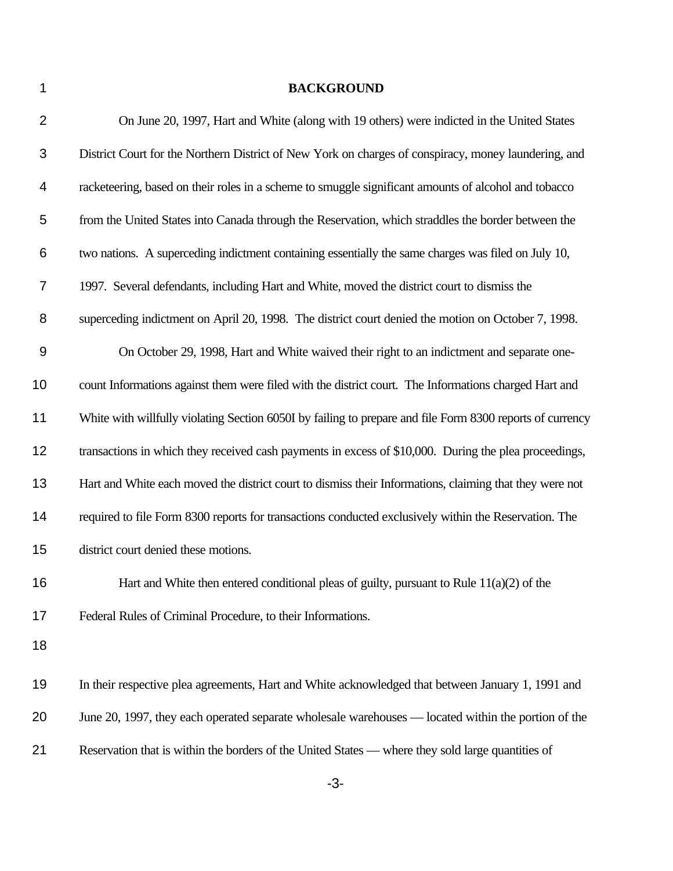## **BACKGROUND**

| $\overline{2}$ | On June 20, 1997, Hart and White (along with 19 others) were indicted in the United States                |
|----------------|-----------------------------------------------------------------------------------------------------------|
| $\mathfrak{B}$ | District Court for the Northern District of New York on charges of conspiracy, money laundering, and      |
| 4              | racketeering, based on their roles in a scheme to smuggle significant amounts of alcohol and tobacco      |
| 5              | from the United States into Canada through the Reservation, which straddles the border between the        |
| 6              | two nations. A superceding indictment containing essentially the same charges was filed on July 10,       |
| $\overline{7}$ | 1997. Several defendants, including Hart and White, moved the district court to dismiss the               |
| 8              | superceding indictment on April 20, 1998. The district court denied the motion on October 7, 1998.        |
| 9              | On October 29, 1998, Hart and White waived their right to an indictment and separate one-                 |
| 10             | count Informations against them were filed with the district court. The Informations charged Hart and     |
| 11             | White with willfully violating Section 6050I by failing to prepare and file Form 8300 reports of currency |
| 12             | transactions in which they received cash payments in excess of \$10,000. During the plea proceedings,     |
| 13             | Hart and White each moved the district court to dismiss their Informations, claiming that they were not   |
| 14             | required to file Form 8300 reports for transactions conducted exclusively within the Reservation. The     |
| 15             | district court denied these motions.                                                                      |
| 16             | Hart and White then entered conditional pleas of guilty, pursuant to Rule $11(a)(2)$ of the               |
| 17             | Federal Rules of Criminal Procedure, to their Informations.                                               |
| 18             |                                                                                                           |
| 19             | In their respective plea agreements, Hart and White acknowledged that between January 1, 1991 and         |
| 20             | June 20, 1997, they each operated separate wholesale warehouses — located within the portion of the       |
| 21             | Reservation that is within the borders of the United States - where they sold large quantities of         |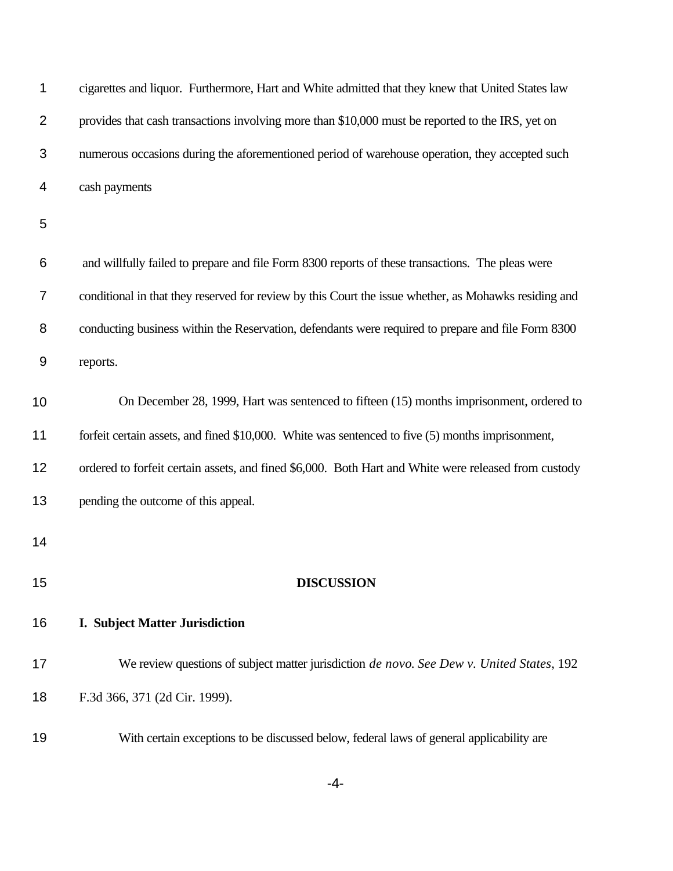| 1              | cigarettes and liquor. Furthermore, Hart and White admitted that they knew that United States law     |
|----------------|-------------------------------------------------------------------------------------------------------|
| $\overline{2}$ | provides that cash transactions involving more than \$10,000 must be reported to the IRS, yet on      |
| 3              | numerous occasions during the aforementioned period of warehouse operation, they accepted such        |
| 4              | cash payments                                                                                         |
| 5              |                                                                                                       |
| 6              | and willfully failed to prepare and file Form 8300 reports of these transactions. The pleas were      |
| 7              | conditional in that they reserved for review by this Court the issue whether, as Mohawks residing and |
| 8              | conducting business within the Reservation, defendants were required to prepare and file Form 8300    |
| 9              | reports.                                                                                              |
| 10             | On December 28, 1999, Hart was sentenced to fifteen (15) months imprisonment, ordered to              |
| 11             | forfeit certain assets, and fined \$10,000. White was sentenced to five (5) months imprisonment,      |
| 12             | ordered to forfeit certain assets, and fined \$6,000. Both Hart and White were released from custody  |
| 13             | pending the outcome of this appeal.                                                                   |
| 14             |                                                                                                       |
| 15             | <b>DISCUSSION</b>                                                                                     |
| 16             | <b>I. Subject Matter Jurisdiction</b>                                                                 |
| 17             | We review questions of subject matter jurisdiction de novo. See Dew v. United States, 192             |
| 18             | F.3d 366, 371 (2d Cir. 1999).                                                                         |
| 19             | With certain exceptions to be discussed below, federal laws of general applicability are              |

-4-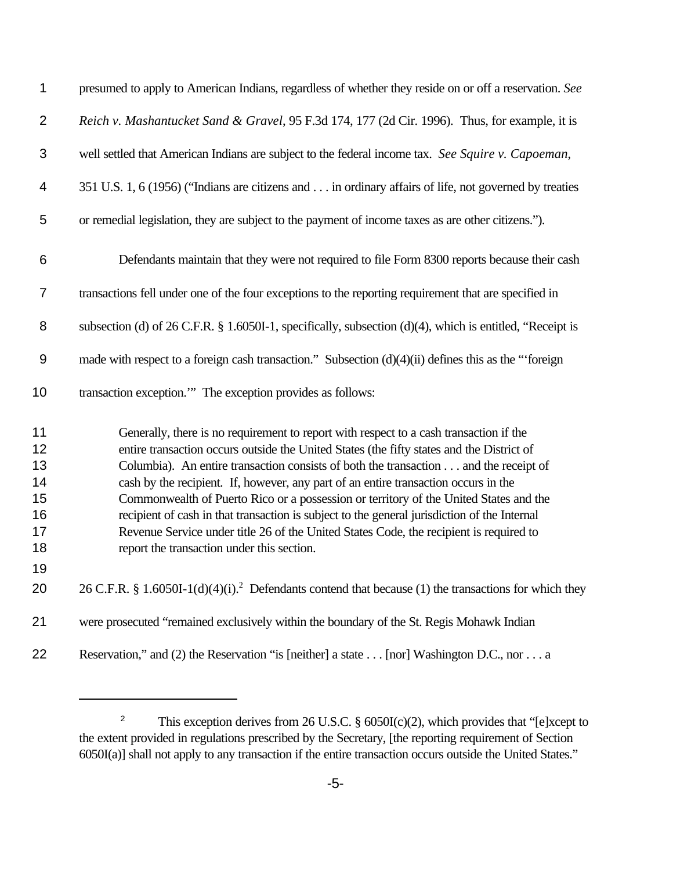| 1                                                  | presumed to apply to American Indians, regardless of whether they reside on or off a reservation. See                                                                                                                                                                                                                                                                                                                                                                                                                                                                                                                                                                                               |
|----------------------------------------------------|-----------------------------------------------------------------------------------------------------------------------------------------------------------------------------------------------------------------------------------------------------------------------------------------------------------------------------------------------------------------------------------------------------------------------------------------------------------------------------------------------------------------------------------------------------------------------------------------------------------------------------------------------------------------------------------------------------|
| $\overline{2}$                                     | Reich v. Mashantucket Sand & Gravel, 95 F.3d 174, 177 (2d Cir. 1996). Thus, for example, it is                                                                                                                                                                                                                                                                                                                                                                                                                                                                                                                                                                                                      |
| 3                                                  | well settled that American Indians are subject to the federal income tax. See Squire v. Capoeman,                                                                                                                                                                                                                                                                                                                                                                                                                                                                                                                                                                                                   |
| 4                                                  | 351 U.S. 1, 6 (1956) ("Indians are citizens and in ordinary affairs of life, not governed by treaties                                                                                                                                                                                                                                                                                                                                                                                                                                                                                                                                                                                               |
| 5                                                  | or remedial legislation, they are subject to the payment of income taxes as are other citizens.").                                                                                                                                                                                                                                                                                                                                                                                                                                                                                                                                                                                                  |
| 6                                                  | Defendants maintain that they were not required to file Form 8300 reports because their cash                                                                                                                                                                                                                                                                                                                                                                                                                                                                                                                                                                                                        |
| $\overline{7}$                                     | transactions fell under one of the four exceptions to the reporting requirement that are specified in                                                                                                                                                                                                                                                                                                                                                                                                                                                                                                                                                                                               |
| 8                                                  | subsection (d) of $26$ C.F.R. § 1.6050I-1, specifically, subsection (d)(4), which is entitled, "Receipt is                                                                                                                                                                                                                                                                                                                                                                                                                                                                                                                                                                                          |
| 9                                                  | made with respect to a foreign cash transaction." Subsection (d)(4)(ii) defines this as the "foreign                                                                                                                                                                                                                                                                                                                                                                                                                                                                                                                                                                                                |
| 10                                                 | transaction exception." The exception provides as follows:                                                                                                                                                                                                                                                                                                                                                                                                                                                                                                                                                                                                                                          |
| 11<br>12<br>13<br>14<br>15<br>16<br>17<br>18<br>19 | Generally, there is no requirement to report with respect to a cash transaction if the<br>entire transaction occurs outside the United States (the fifty states and the District of<br>Columbia). An entire transaction consists of both the transaction and the receipt of<br>cash by the recipient. If, however, any part of an entire transaction occurs in the<br>Commonwealth of Puerto Rico or a possession or territory of the United States and the<br>recipient of cash in that transaction is subject to the general jurisdiction of the Internal<br>Revenue Service under title 26 of the United States Code, the recipient is required to<br>report the transaction under this section. |
| 20                                                 | 26 C.F.R. § 1.6050I-1(d)(4)(i). <sup>2</sup> Defendants contend that because (1) the transactions for which they                                                                                                                                                                                                                                                                                                                                                                                                                                                                                                                                                                                    |
| 21                                                 | were prosecuted "remained exclusively within the boundary of the St. Regis Mohawk Indian                                                                                                                                                                                                                                                                                                                                                                                                                                                                                                                                                                                                            |
| 22                                                 | Reservation," and (2) the Reservation "is [neither] a state [nor] Washington D.C., nor a                                                                                                                                                                                                                                                                                                                                                                                                                                                                                                                                                                                                            |

<sup>&</sup>lt;sup>2</sup> This exception derives from 26 U.S.C. § 6050I(c)(2), which provides that "[e]xcept to the extent provided in regulations prescribed by the Secretary, [the reporting requirement of Section 6050I(a)] shall not apply to any transaction if the entire transaction occurs outside the United States."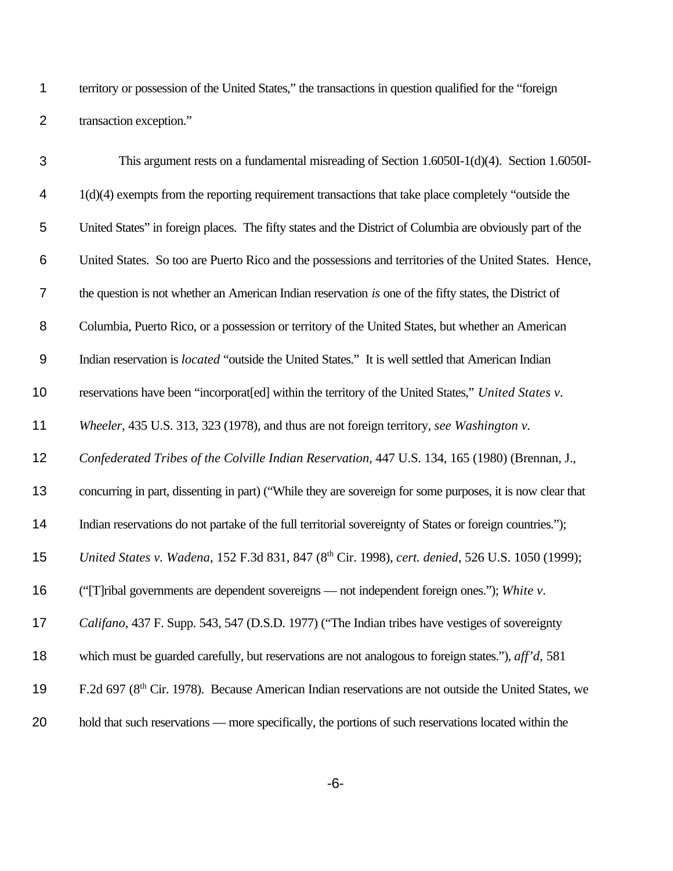territory or possession of the United States," the transactions in question qualified for the "foreign transaction exception."

| 3              | This argument rests on a fundamental misreading of Section 1.6050I-1(d)(4). Section 1.6050I-                     |
|----------------|------------------------------------------------------------------------------------------------------------------|
| 4              | $1(d)(4)$ exempts from the reporting requirement transactions that take place completely "outside the            |
| 5              | United States" in foreign places. The fifty states and the District of Columbia are obviously part of the        |
| 6              | United States. So too are Puerto Rico and the possessions and territories of the United States. Hence,           |
| $\overline{7}$ | the question is not whether an American Indian reservation is one of the fifty states, the District of           |
| 8              | Columbia, Puerto Rico, or a possession or territory of the United States, but whether an American                |
| 9              | Indian reservation is <i>located</i> "outside the United States." It is well settled that American Indian        |
| 10             | reservations have been "incorporat[ed] within the territory of the United States," United States v.              |
| 11             | Wheeler, 435 U.S. 313, 323 (1978), and thus are not foreign territory, see Washington v.                         |
| 12             | Confederated Tribes of the Colville Indian Reservation, 447 U.S. 134, 165 (1980) (Brennan, J.,                   |
| 13             | concurring in part, dissenting in part) ("While they are sovereign for some purposes, it is now clear that       |
| 14             | Indian reservations do not partake of the full territorial sovereignty of States or foreign countries.");        |
| 15             | United States v. Wadena, 152 F.3d 831, 847 (8th Cir. 1998), cert. denied, 526 U.S. 1050 (1999);                  |
| 16             | ("[T]ribal governments are dependent sovereigns - not independent foreign ones."); White v.                      |
| 17             | Califano, 437 F. Supp. 543, 547 (D.S.D. 1977) ("The Indian tribes have vestiges of sovereignty                   |
| 18             | which must be guarded carefully, but reservations are not analogous to foreign states."), $\alpha f f d$ , 581   |
| 19             | F.2d 697 (8 <sup>th</sup> Cir. 1978). Because American Indian reservations are not outside the United States, we |
| 20             | hold that such reservations — more specifically, the portions of such reservations located within the            |

-6-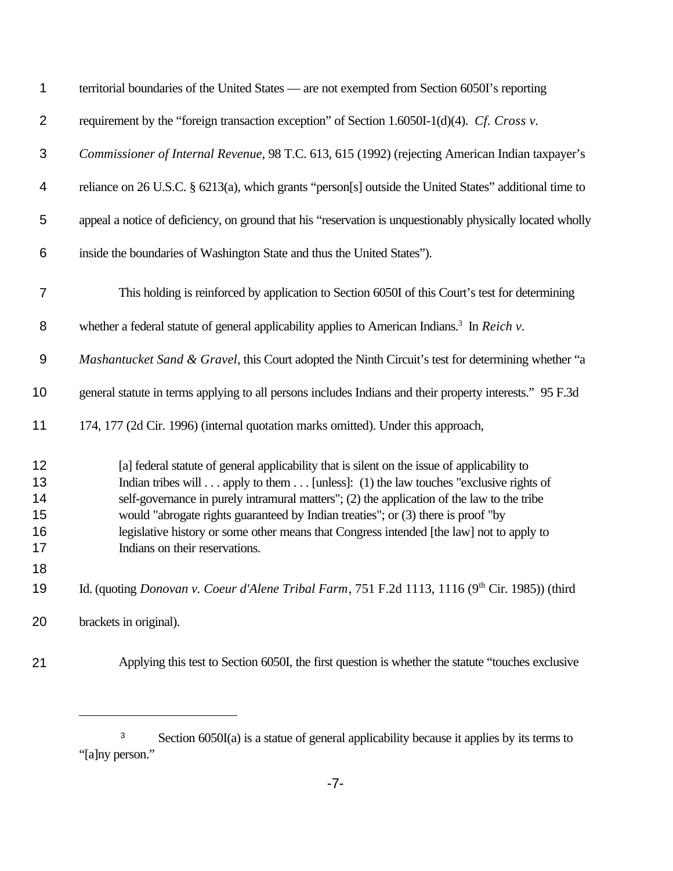| 1                                | territorial boundaries of the United States — are not exempted from Section 6050I's reporting                                                                                                                                                                                                                                                                                                                                                                                                       |
|----------------------------------|-----------------------------------------------------------------------------------------------------------------------------------------------------------------------------------------------------------------------------------------------------------------------------------------------------------------------------------------------------------------------------------------------------------------------------------------------------------------------------------------------------|
| $\overline{2}$                   | requirement by the "foreign transaction exception" of Section 1.6050I-1(d)(4). Cf. Cross v.                                                                                                                                                                                                                                                                                                                                                                                                         |
| $\mathfrak{B}$                   | Commissioner of Internal Revenue, 98 T.C. 613, 615 (1992) (rejecting American Indian taxpayer's                                                                                                                                                                                                                                                                                                                                                                                                     |
| 4                                | reliance on 26 U.S.C. § 6213(a), which grants "person[s] outside the United States" additional time to                                                                                                                                                                                                                                                                                                                                                                                              |
| 5                                | appeal a notice of deficiency, on ground that his "reservation is unquestionably physically located wholly                                                                                                                                                                                                                                                                                                                                                                                          |
| 6                                | inside the boundaries of Washington State and thus the United States").                                                                                                                                                                                                                                                                                                                                                                                                                             |
| $\overline{7}$                   | This holding is reinforced by application to Section 6050I of this Court's test for determining                                                                                                                                                                                                                                                                                                                                                                                                     |
| 8                                | whether a federal statute of general applicability applies to American Indians. <sup>3</sup> In Reich $v$ .                                                                                                                                                                                                                                                                                                                                                                                         |
| $\boldsymbol{9}$                 | Mashantucket Sand & Gravel, this Court adopted the Ninth Circuit's test for determining whether "a                                                                                                                                                                                                                                                                                                                                                                                                  |
| 10                               | general statute in terms applying to all persons includes Indians and their property interests." 95 F.3d                                                                                                                                                                                                                                                                                                                                                                                            |
| 11                               | 174, 177 (2d Cir. 1996) (internal quotation marks omitted). Under this approach,                                                                                                                                                                                                                                                                                                                                                                                                                    |
| 12<br>13<br>14<br>15<br>16<br>17 | [a] federal statute of general applicability that is silent on the issue of applicability to<br>Indian tribes will apply to them [unless]: (1) the law touches "exclusive rights of<br>self-governance in purely intramural matters"; (2) the application of the law to the tribe<br>would "abrogate rights guaranteed by Indian treaties"; or (3) there is proof "by<br>legislative history or some other means that Congress intended [the law] not to apply to<br>Indians on their reservations. |
| 18<br>19                         | Id. (quoting Donovan v. Coeur d'Alene Tribal Farm, 751 F.2d 1113, 1116 (9th Cir. 1985)) (third                                                                                                                                                                                                                                                                                                                                                                                                      |
| 20                               | brackets in original).                                                                                                                                                                                                                                                                                                                                                                                                                                                                              |
| 21                               | Applying this test to Section 6050I, the first question is whether the statute "touches exclusive                                                                                                                                                                                                                                                                                                                                                                                                   |

<sup>&</sup>lt;sup>3</sup> Section 6050I(a) is a statue of general applicability because it applies by its terms to "[a]ny person."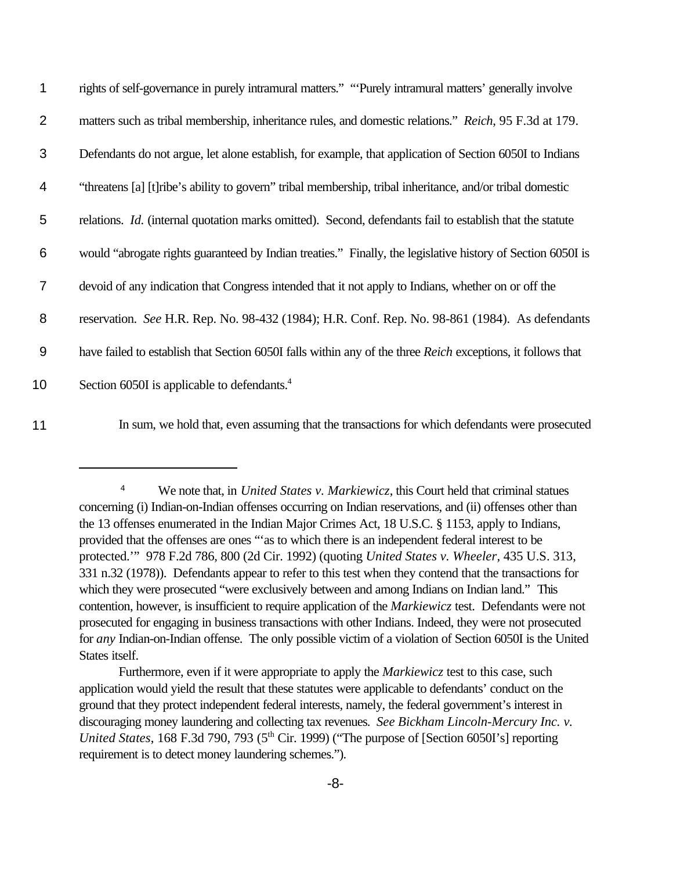| 1     | rights of self-governance in purely intramural matters." "Purely intramural matters' generally involve          |
|-------|-----------------------------------------------------------------------------------------------------------------|
| 2     | matters such as tribal membership, inheritance rules, and domestic relations." Reich, 95 F.3d at 179.           |
| 3     | Defendants do not argue, let alone establish, for example, that application of Section 6050I to Indians         |
| 4     | "threatens [a] [t] ribe's ability to govern" tribal membership, tribal inheritance, and/or tribal domestic      |
| 5     | relations. <i>Id.</i> (internal quotation marks omitted). Second, defendants fail to establish that the statute |
| 6     | would "abrogate rights guaranteed by Indian treaties." Finally, the legislative history of Section 6050I is     |
| 7     | devoid of any indication that Congress intended that it not apply to Indians, whether on or off the             |
| 8     | reservation. See H.R. Rep. No. 98-432 (1984); H.R. Conf. Rep. No. 98-861 (1984). As defendants                  |
| $9\,$ | have failed to establish that Section 6050I falls within any of the three Reich exceptions, it follows that     |
| 10    | Section 6050I is applicable to defendants. <sup>4</sup>                                                         |
|       |                                                                                                                 |

11 In sum, we hold that, even assuming that the transactions for which defendants were prosecuted

<sup>&</sup>lt;sup>4</sup> We note that, in *United States v. Markiewicz*, this Court held that criminal statues concerning (i) Indian-on-Indian offenses occurring on Indian reservations, and (ii) offenses other than the 13 offenses enumerated in the Indian Major Crimes Act, 18 U.S.C. § 1153, apply to Indians, provided that the offenses are ones "'as to which there is an independent federal interest to be protected.'" 978 F.2d 786, 800 (2d Cir. 1992) (quoting *United States v. Wheeler*, 435 U.S. 313, 331 n.32 (1978)). Defendants appear to refer to this test when they contend that the transactions for which they were prosecuted "were exclusively between and among Indians on Indian land." This contention, however, is insufficient to require application of the *Markiewicz* test. Defendants were not prosecuted for engaging in business transactions with other Indians. Indeed, they were not prosecuted for *any* Indian-on-Indian offense. The only possible victim of a violation of Section 6050I is the United States itself.

Furthermore, even if it were appropriate to apply the *Markiewicz* test to this case, such application would yield the result that these statutes were applicable to defendants' conduct on the ground that they protect independent federal interests, namely, the federal government's interest in discouraging money laundering and collecting tax revenues. *See Bickham Lincoln-Mercury Inc. v. United States*, 168 F.3d 790, 793 (5<sup>th</sup> Cir. 1999) ("The purpose of [Section 6050I's] reporting requirement is to detect money laundering schemes.").